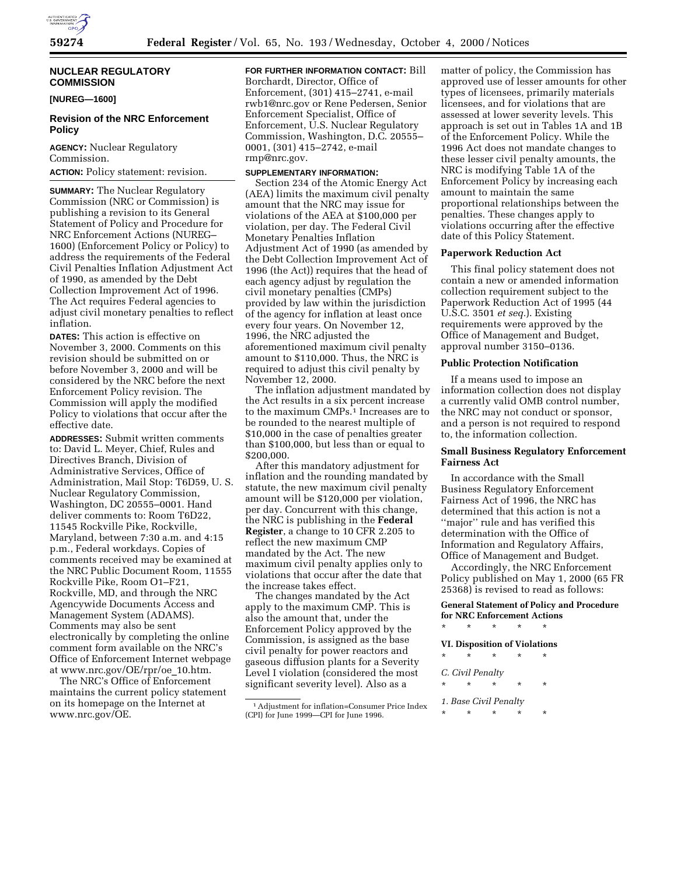

## **NUCLEAR REGULATORY COMMISSION**

**[NUREG—1600]**

## **Revision of the NRC Enforcement Policy**

**AGENCY:** Nuclear Regulatory Commission. **ACTION:** Policy statement: revision.

**SUMMARY:** The Nuclear Regulatory Commission (NRC or Commission) is publishing a revision to its General Statement of Policy and Procedure for NRC Enforcement Actions (NUREG– 1600) (Enforcement Policy or Policy) to address the requirements of the Federal Civil Penalties Inflation Adjustment Act of 1990, as amended by the Debt Collection Improvement Act of 1996. The Act requires Federal agencies to adjust civil monetary penalties to reflect inflation.

**DATES:** This action is effective on November 3, 2000. Comments on this revision should be submitted on or before November 3, 2000 and will be considered by the NRC before the next Enforcement Policy revision. The Commission will apply the modified Policy to violations that occur after the effective date.

**ADDRESSES:** Submit written comments to: David L. Meyer, Chief, Rules and Directives Branch, Division of Administrative Services, Office of Administration, Mail Stop: T6D59, U. S. Nuclear Regulatory Commission, Washington, DC 20555–0001. Hand deliver comments to: Room T6D22, 11545 Rockville Pike, Rockville, Maryland, between 7:30 a.m. and 4:15 p.m., Federal workdays. Copies of comments received may be examined at the NRC Public Document Room, 11555 Rockville Pike, Room O1–F21, Rockville, MD, and through the NRC Agencywide Documents Access and Management System (ADAMS). Comments may also be sent electronically by completing the online comment form available on the NRC's Office of Enforcement Internet webpage at www.nrc.gov/OE/rpr/oe\_10.htm.

The NRC's Office of Enforcement maintains the current policy statement on its homepage on the Internet at www.nrc.gov/OE.

**FOR FURTHER INFORMATION CONTACT:** Bill Borchardt, Director, Office of Enforcement, (301) 415–2741, e-mail rwb1@nrc.gov or Rene Pedersen, Senior Enforcement Specialist, Office of Enforcement, U.S. Nuclear Regulatory Commission, Washington, D.C. 20555– 0001, (301) 415–2742, e-mail rmp@nrc.gov.

## **SUPPLEMENTARY INFORMATION:**

Section 234 of the Atomic Energy Act (AEA) limits the maximum civil penalty amount that the NRC may issue for violations of the AEA at \$100,000 per violation, per day. The Federal Civil Monetary Penalties Inflation Adjustment Act of 1990 (as amended by the Debt Collection Improvement Act of 1996 (the Act)) requires that the head of each agency adjust by regulation the civil monetary penalties (CMPs) provided by law within the jurisdiction of the agency for inflation at least once every four years. On November 12, 1996, the NRC adjusted the aforementioned maximum civil penalty amount to \$110,000. Thus, the NRC is required to adjust this civil penalty by November 12, 2000.

The inflation adjustment mandated by the Act results in a six percent increase to the maximum CMPs.1 Increases are to be rounded to the nearest multiple of \$10,000 in the case of penalties greater than \$100,000, but less than or equal to \$200,000.

After this mandatory adjustment for inflation and the rounding mandated by statute, the new maximum civil penalty amount will be \$120,000 per violation, per day. Concurrent with this change, the NRC is publishing in the **Federal Register**, a change to 10 CFR 2.205 to reflect the new maximum CMP mandated by the Act. The new maximum civil penalty applies only to violations that occur after the date that the increase takes effect.

The changes mandated by the Act apply to the maximum CMP. This is also the amount that, under the Enforcement Policy approved by the Commission, is assigned as the base civil penalty for power reactors and gaseous diffusion plants for a Severity Level I violation (considered the most significant severity level). Also as a

matter of policy, the Commission has approved use of lesser amounts for other types of licensees, primarily materials licensees, and for violations that are assessed at lower severity levels. This approach is set out in Tables 1A and 1B of the Enforcement Policy. While the 1996 Act does not mandate changes to these lesser civil penalty amounts, the NRC is modifying Table 1A of the Enforcement Policy by increasing each amount to maintain the same proportional relationships between the penalties. These changes apply to violations occurring after the effective date of this Policy Statement.

#### **Paperwork Reduction Act**

This final policy statement does not contain a new or amended information collection requirement subject to the Paperwork Reduction Act of 1995 (44 U.S.C. 3501 *et seq.*). Existing requirements were approved by the Office of Management and Budget, approval number 3150–0136.

### **Public Protection Notification**

If a means used to impose an information collection does not display a currently valid OMB control number, the NRC may not conduct or sponsor, and a person is not required to respond to, the information collection.

### **Small Business Regulatory Enforcement Fairness Act**

In accordance with the Small Business Regulatory Enforcement Fairness Act of 1996, the NRC has determined that this action is not a ''major'' rule and has verified this determination with the Office of Information and Regulatory Affairs, Office of Management and Budget.

Accordingly, the NRC Enforcement Policy published on May 1, 2000 (65 FR 25368) is revised to read as follows:

**General Statement of Policy and Procedure for NRC Enforcement Actions**

- \* \* \* \* \*
- **VI. Disposition of Violations**
- \* \* \* \* \*
- *C. Civil Penalty*
- \* \* \* \* \*
- *1. Base Civil Penalty* \* \* \* \* \*

<sup>1</sup>Adjustment for inflation=Consumer Price Index (CPI) for June 1999—CPI for June 1996.